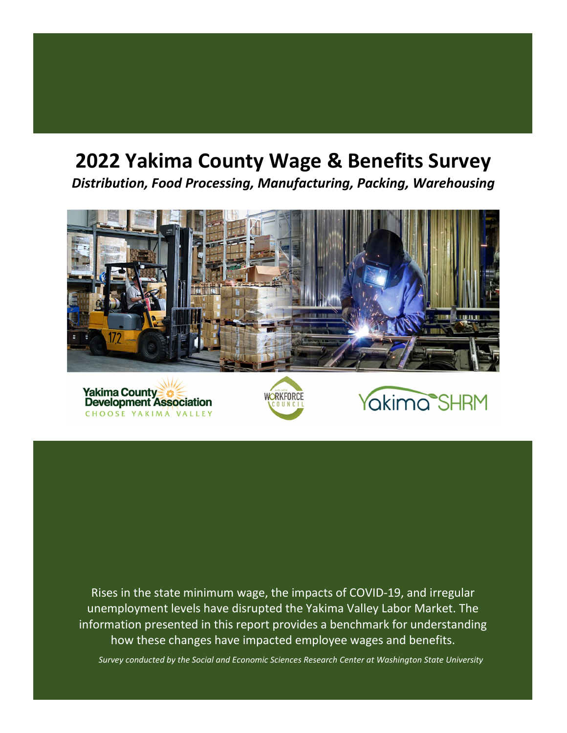# **2022 Yakima County Wage & Benefits Survey** *Distribution, Food Processing, Manufacturing, Packing, Warehousing*



**Yakima County Development Association** CHOOSE YAKIMA VALLEY





Rises in the state minimum wage, the impacts of COVID-19, and irregular unemployment levels have disrupted the Yakima Valley Labor Market. The information presented in this report provides a benchmark for understanding how these changes have impacted employee wages and benefits.

*Survey conducted by the Social and Economic Sciences Research Center at Washington State University*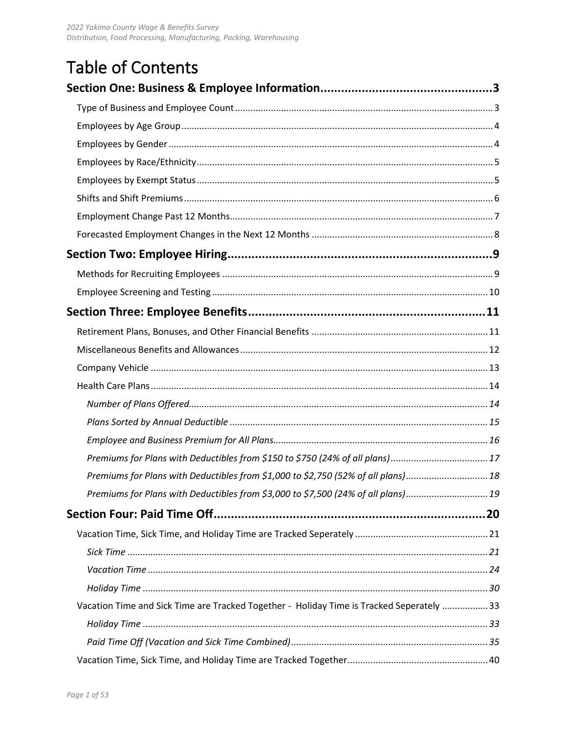# **Table of Contents**

| Premiums for Plans with Deductibles from \$1,000 to \$2,750 (52% of all plans) 18        |  |
|------------------------------------------------------------------------------------------|--|
| Premiums for Plans with Deductibles from \$3,000 to \$7,500 (24% of all plans) 19        |  |
|                                                                                          |  |
|                                                                                          |  |
|                                                                                          |  |
|                                                                                          |  |
|                                                                                          |  |
| Vacation Time and Sick Time are Tracked Together - Holiday Time is Tracked Seperately 33 |  |
|                                                                                          |  |
|                                                                                          |  |
|                                                                                          |  |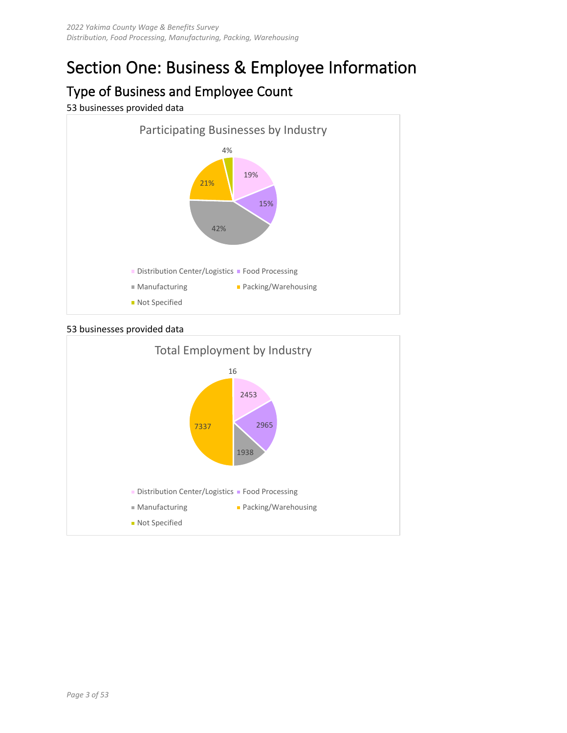# <span id="page-3-0"></span>Section One: Business & Employee Information

## <span id="page-3-1"></span>Type of Business and Employee Count

#### 53 businesses provided data



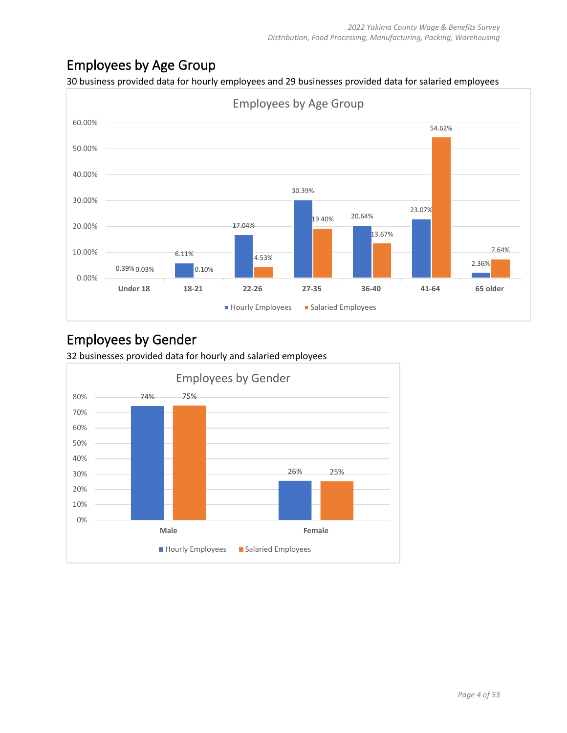## <span id="page-4-0"></span>Employees by Age Group

30 business provided data for hourly employees and 29 businesses provided data for salaried employees



## <span id="page-4-1"></span>Employees by Gender

32 businesses provided data for hourly and salaried employees

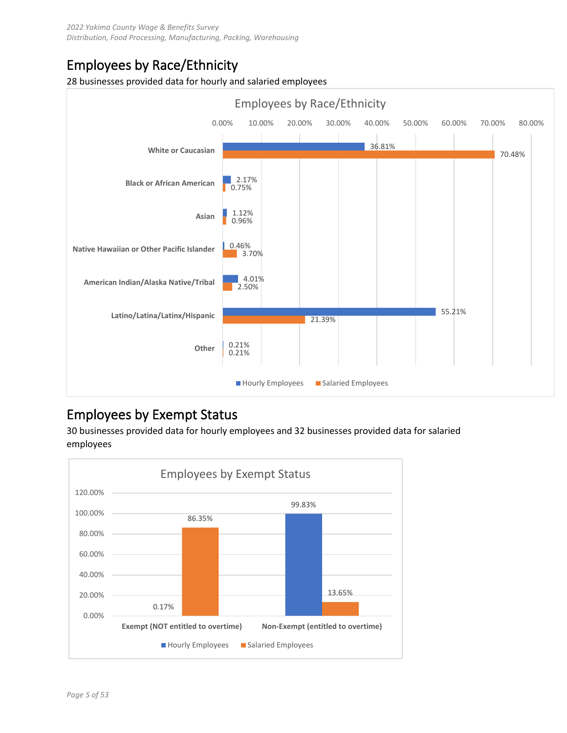## <span id="page-5-0"></span>Employees by Race/Ethnicity





## <span id="page-5-1"></span>Employees by Exempt Status

30 businesses provided data for hourly employees and 32 businesses provided data for salaried employees

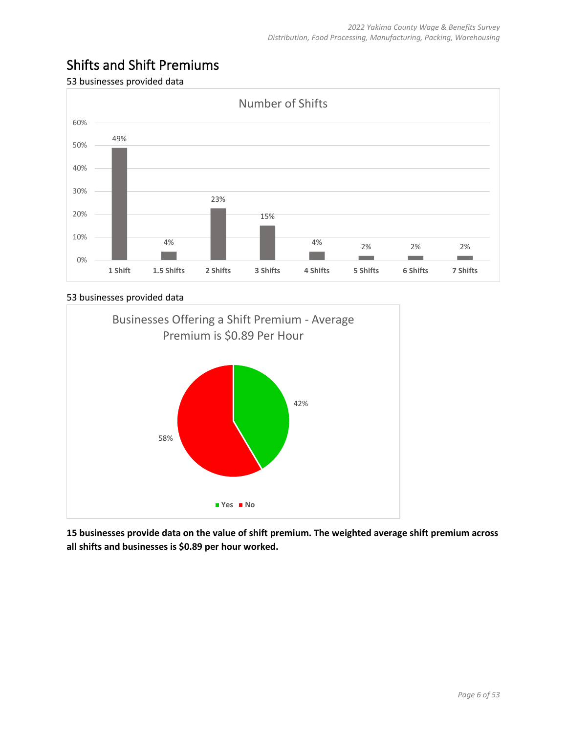### <span id="page-6-0"></span>Shifts and Shift Premiums

53 businesses provided data



#### 53 businesses provided data



**15 businesses provide data on the value of shift premium. The weighted average shift premium across all shifts and businesses is \$0.89 per hour worked.**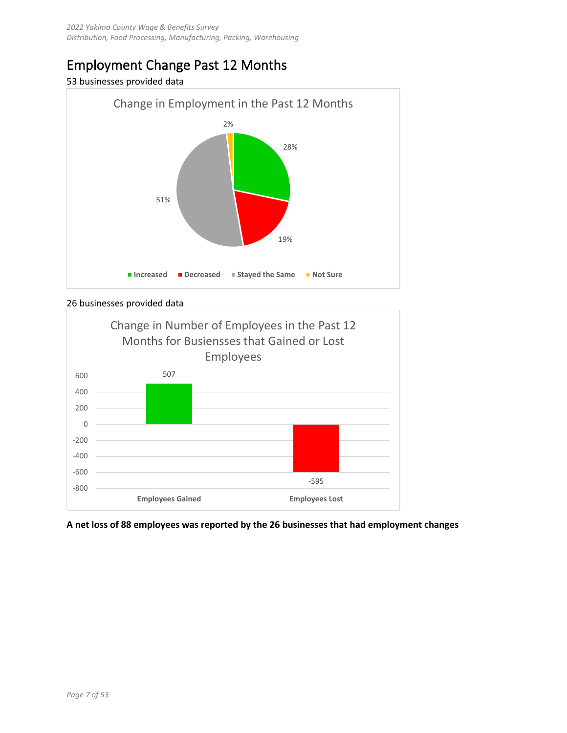## <span id="page-7-0"></span>Employment Change Past 12 Months

53 businesses provided data







**A net loss of 88 employees was reported by the 26 businesses that had employment changes**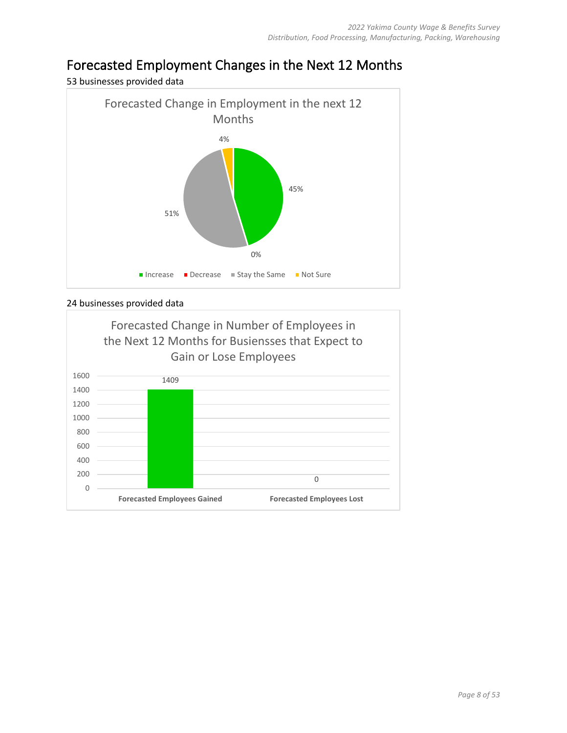### <span id="page-8-0"></span>Forecasted Employment Changes in the Next 12 Months

53 businesses provided data



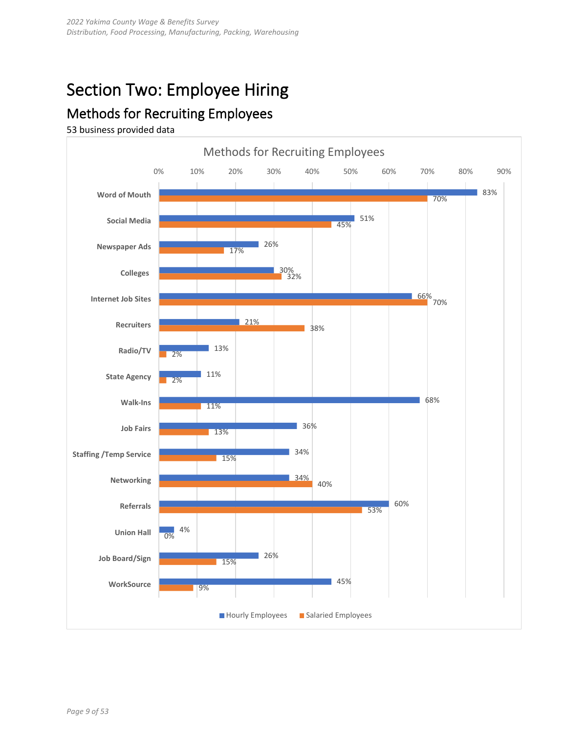# <span id="page-9-0"></span>Section Two: Employee Hiring

## <span id="page-9-1"></span>Methods for Recruiting Employees

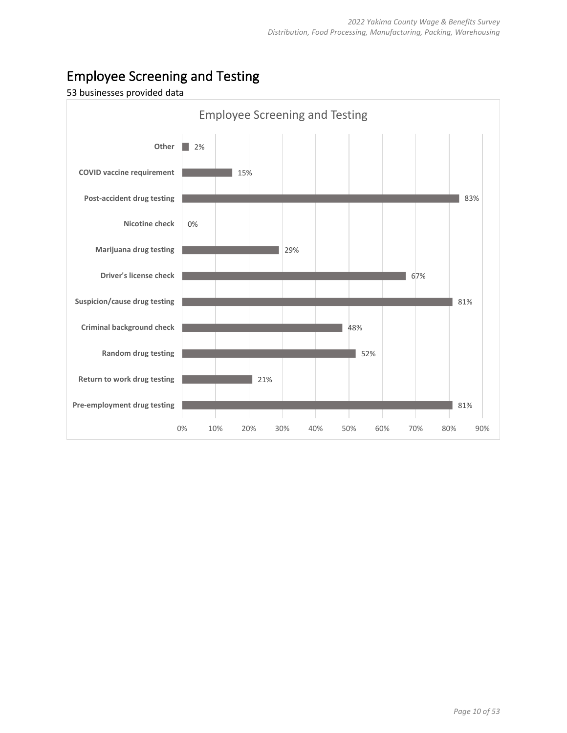## <span id="page-10-0"></span>Employee Screening and Testing

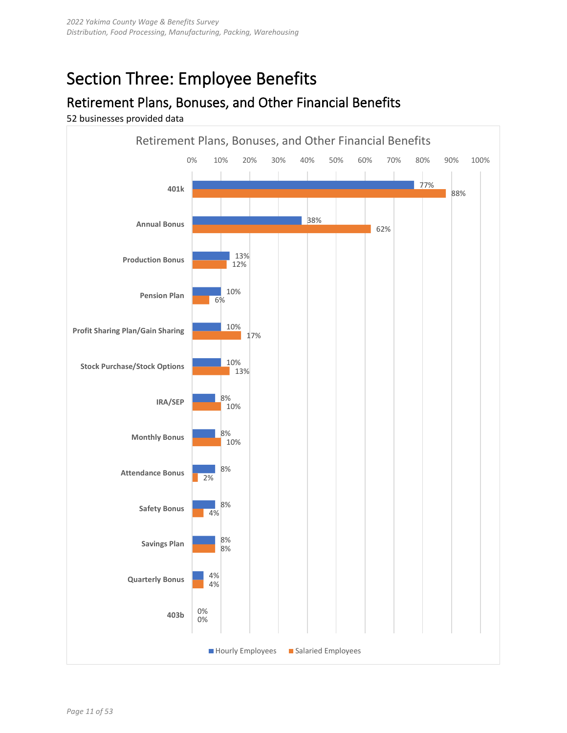# <span id="page-11-0"></span>Section Three: Employee Benefits

## <span id="page-11-1"></span>Retirement Plans, Bonuses, and Other Financial Benefits

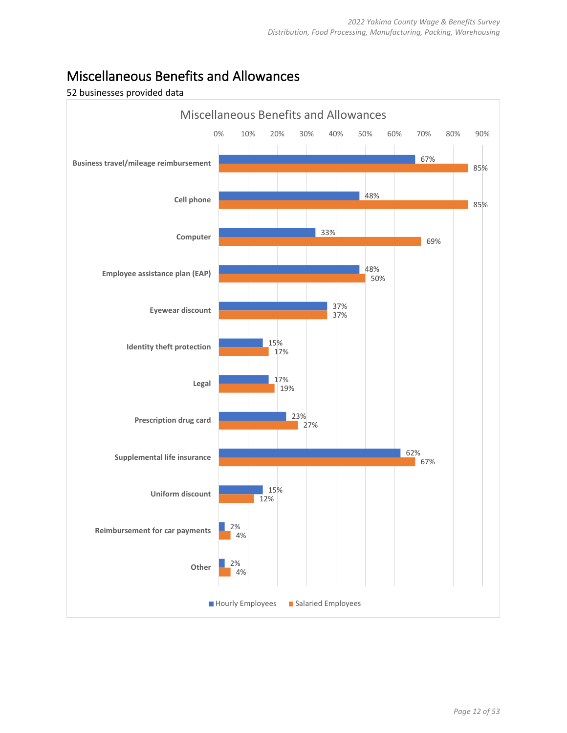## <span id="page-12-0"></span>Miscellaneous Benefits and Allowances

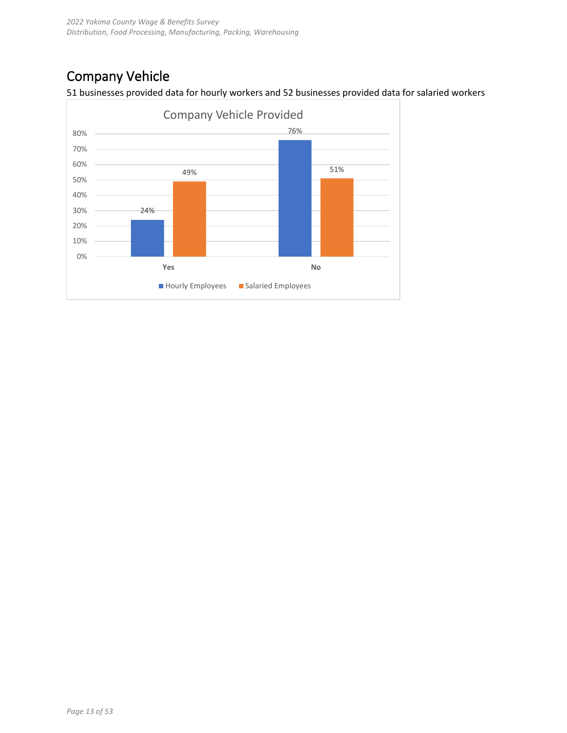## <span id="page-13-0"></span>Company Vehicle

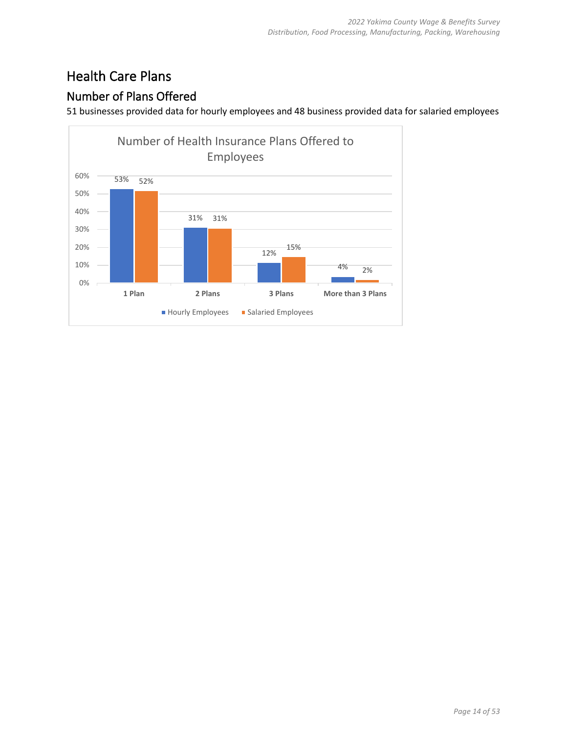## <span id="page-14-0"></span>Health Care Plans

### <span id="page-14-1"></span>Number of Plans Offered

51 businesses provided data for hourly employees and 48 business provided data for salaried employees

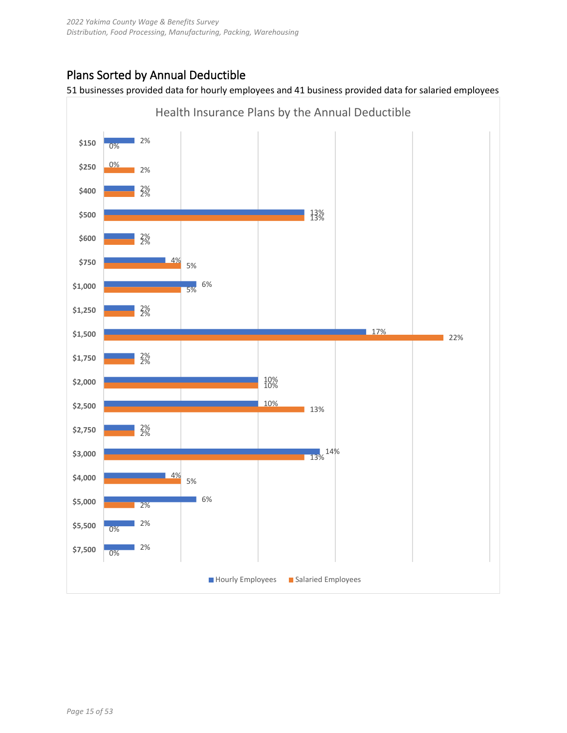### <span id="page-15-0"></span>Plans Sorted by Annual Deductible

51 businesses provided data for hourly employees and 41 business provided data for salaried employees

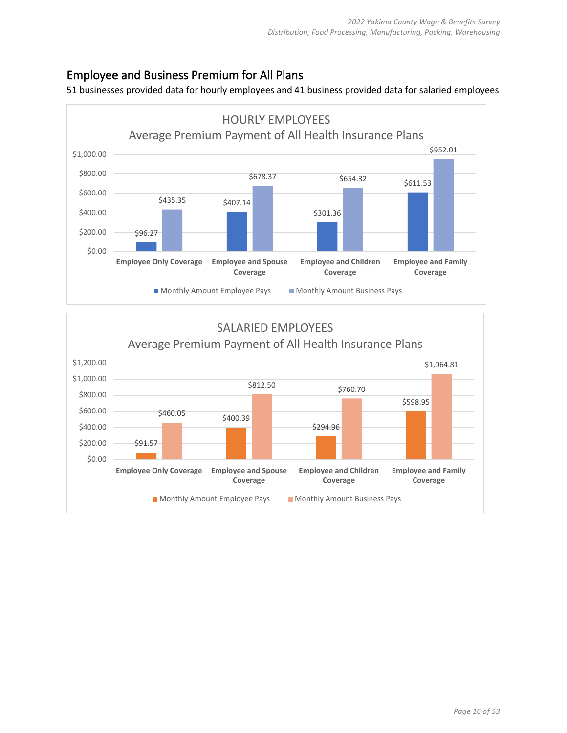### <span id="page-16-0"></span>Employee and Business Premium for All Plans

51 businesses provided data for hourly employees and 41 business provided data for salaried employees



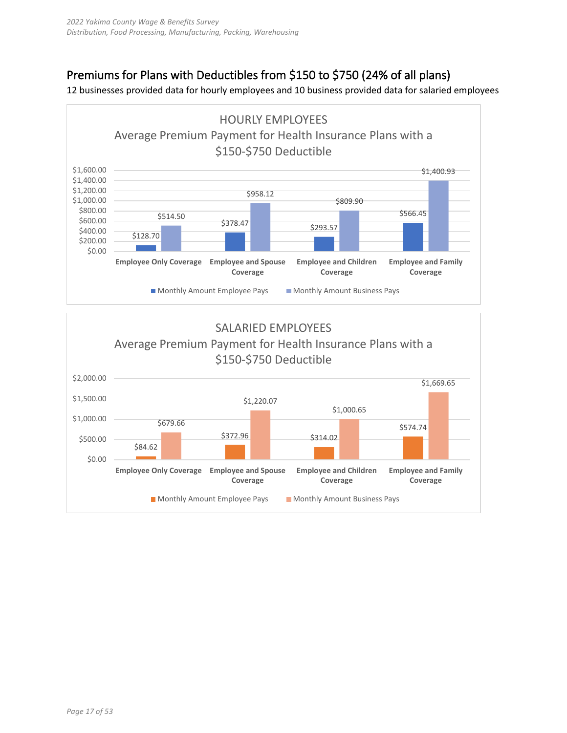### <span id="page-17-0"></span>Premiums for Plans with Deductibles from \$150 to \$750 (24% of all plans)

12 businesses provided data for hourly employees and 10 business provided data for salaried employees



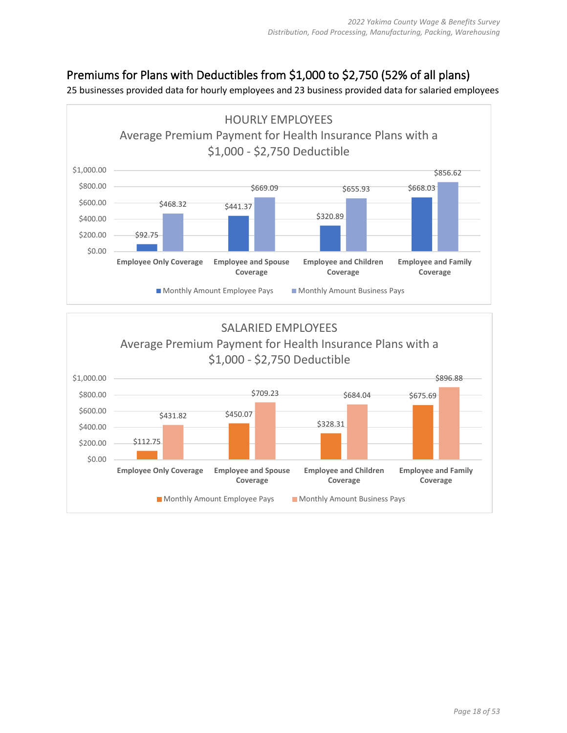### <span id="page-18-0"></span>Premiums for Plans with Deductibles from \$1,000 to \$2,750 (52% of all plans)



25 businesses provided data for hourly employees and 23 business provided data for salaried employees

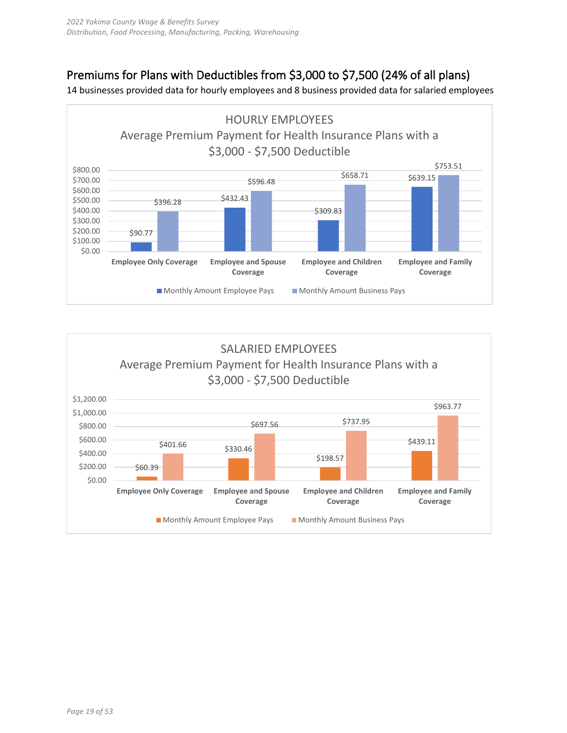### <span id="page-19-0"></span>Premiums for Plans with Deductibles from \$3,000 to \$7,500 (24% of all plans)



14 businesses provided data for hourly employees and 8 business provided data for salaried employees

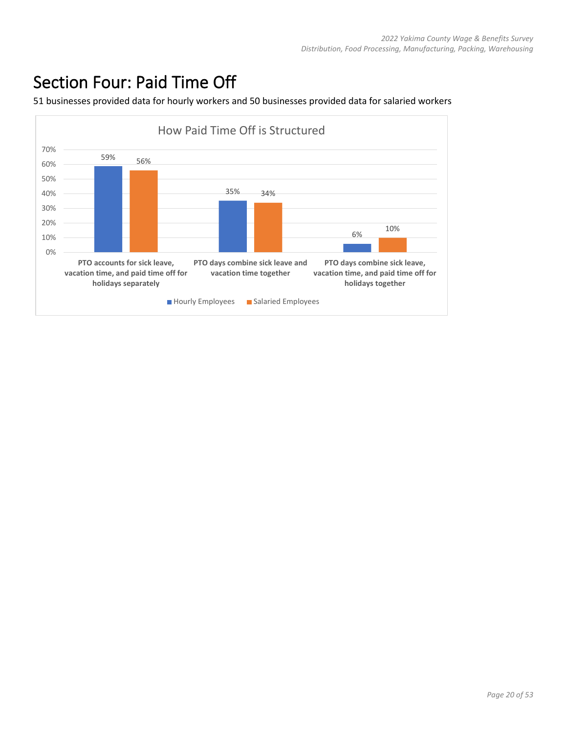## <span id="page-20-0"></span>Section Four: Paid Time Off

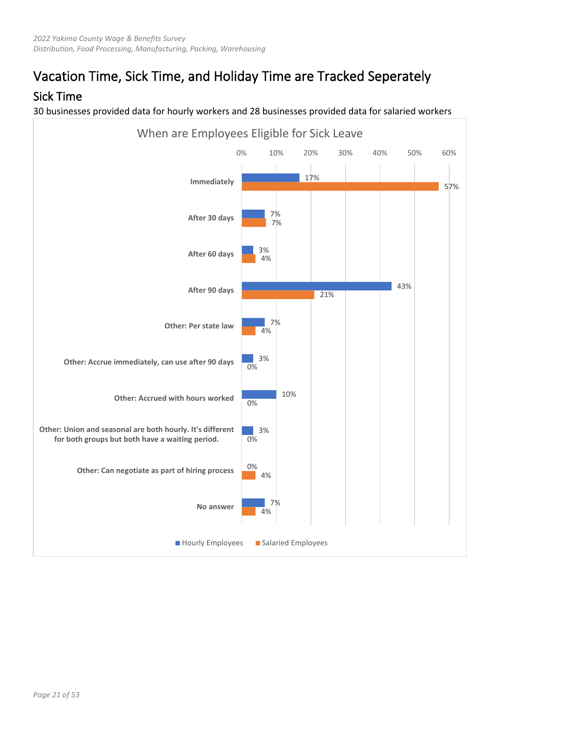## <span id="page-21-0"></span>Vacation Time, Sick Time, and Holiday Time are Tracked Seperately

### <span id="page-21-1"></span>Sick Time

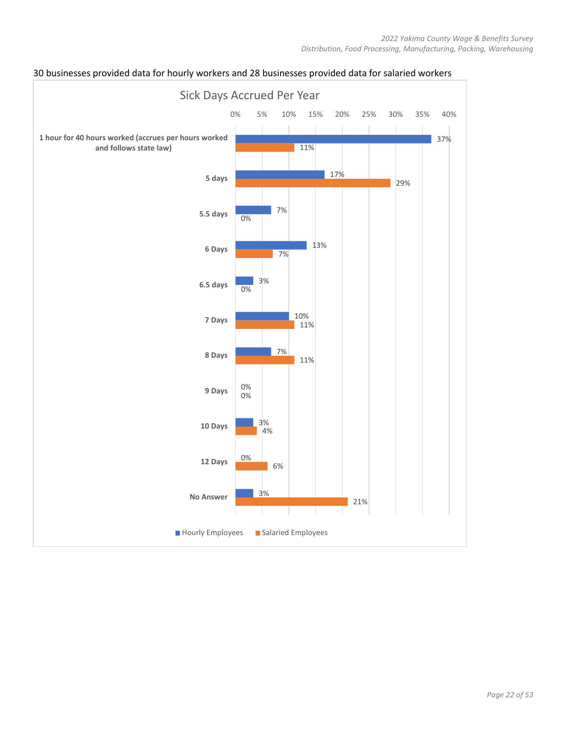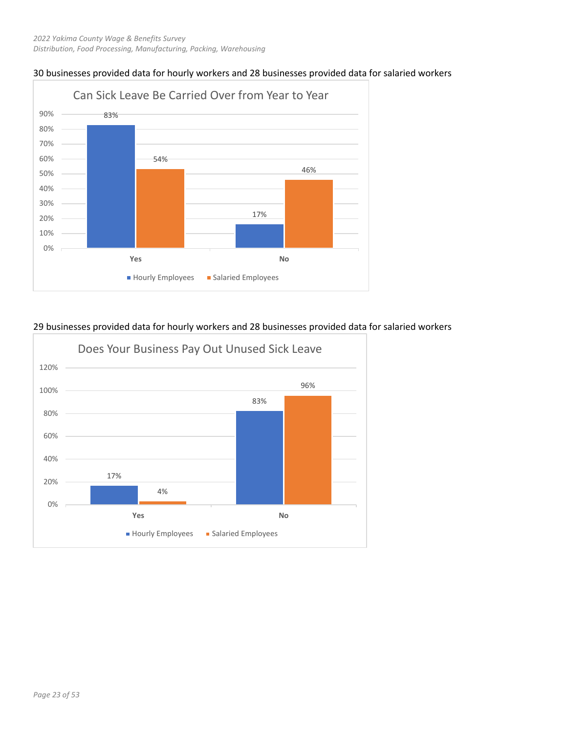



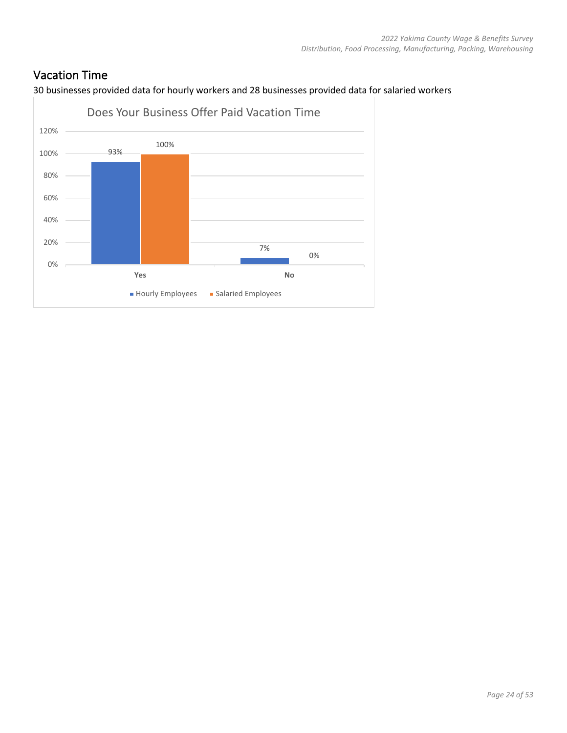### <span id="page-24-0"></span>Vacation Time

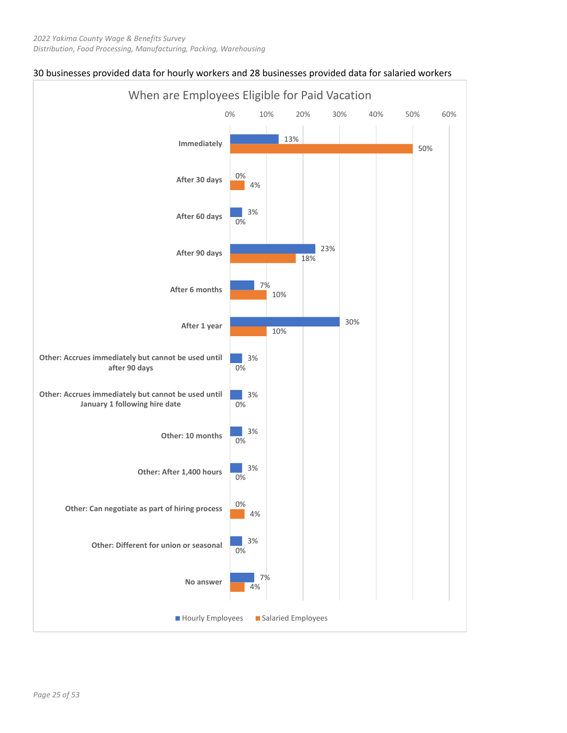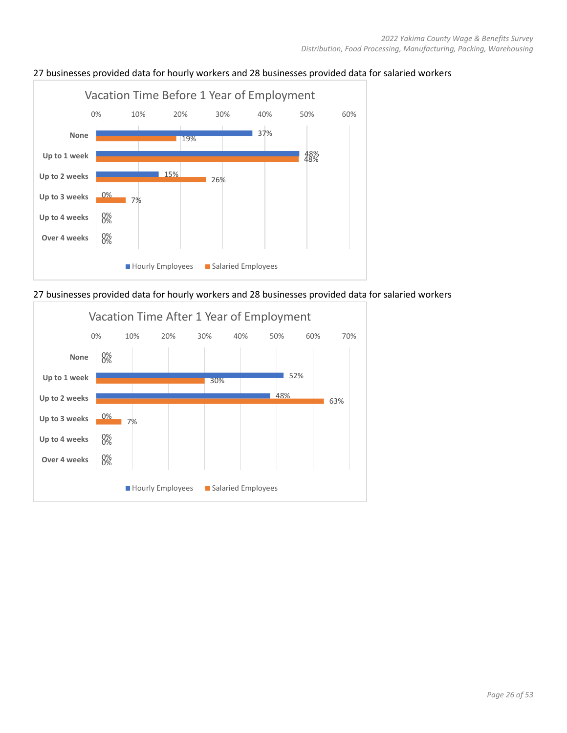

27 businesses provided data for hourly workers and 28 businesses provided data for salaried workers



Vacation Time After 1 Year of Employment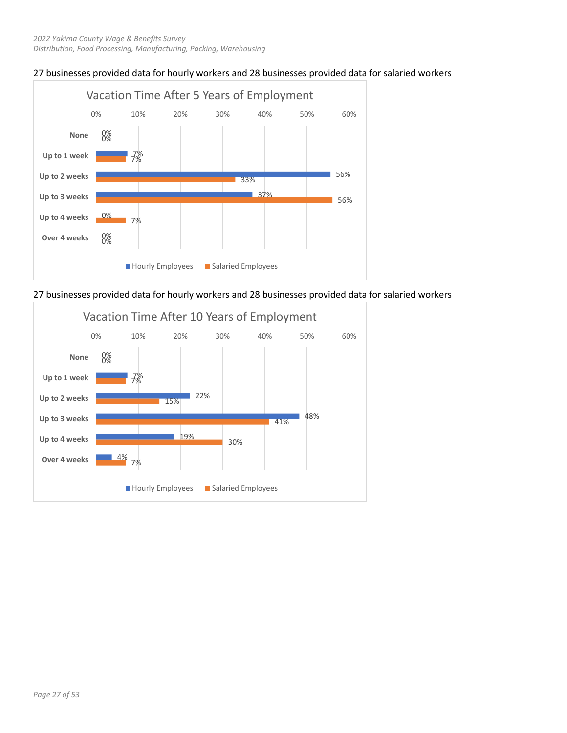

27 businesses provided data for hourly workers and 28 businesses provided data for salaried workers



Vacation Time After 10 Years of Employment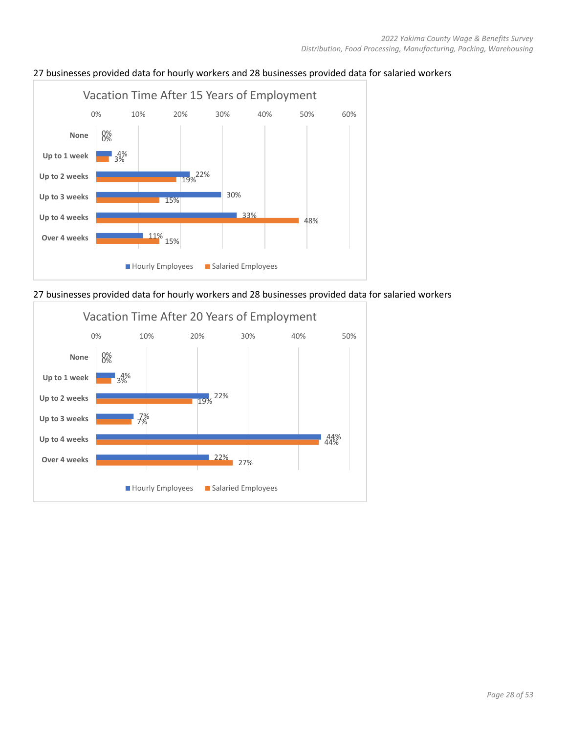

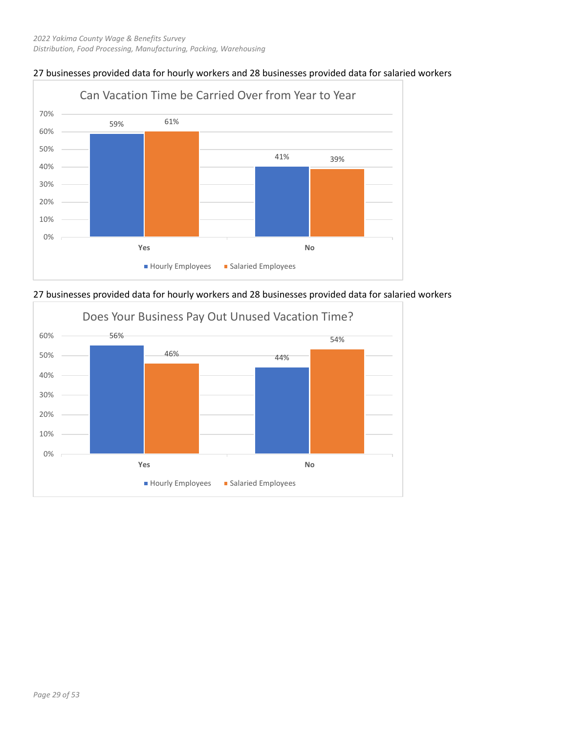

![](_page_29_Figure_3.jpeg)

![](_page_29_Figure_4.jpeg)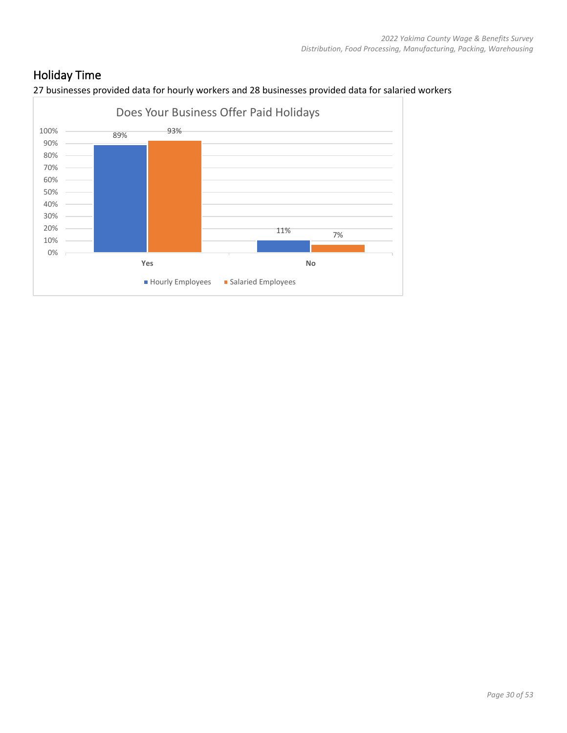### <span id="page-30-0"></span>Holiday Time

![](_page_30_Figure_2.jpeg)

![](_page_30_Figure_3.jpeg)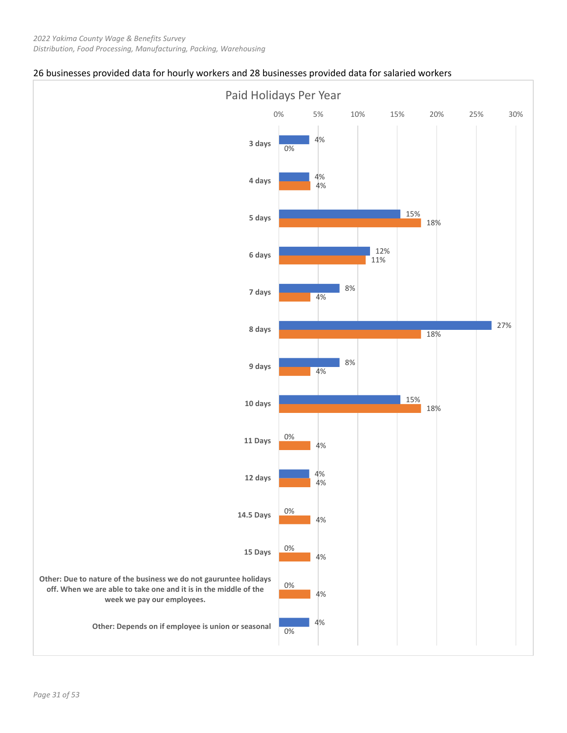![](_page_31_Figure_1.jpeg)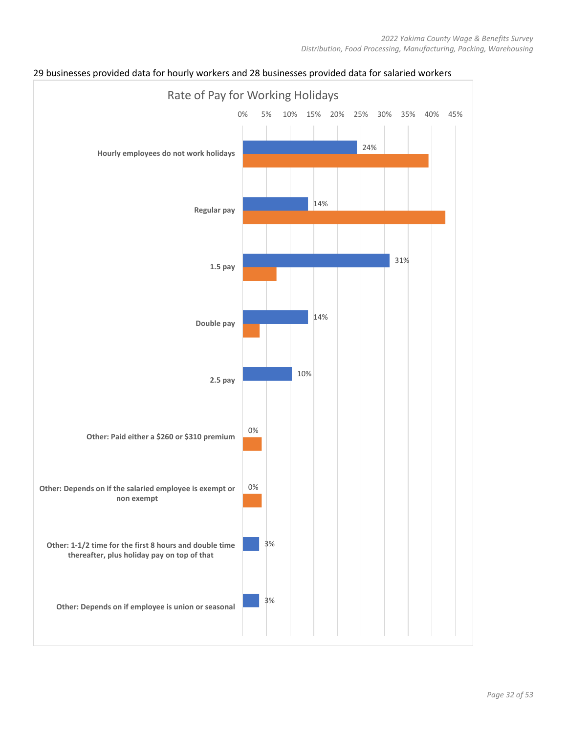![](_page_32_Figure_1.jpeg)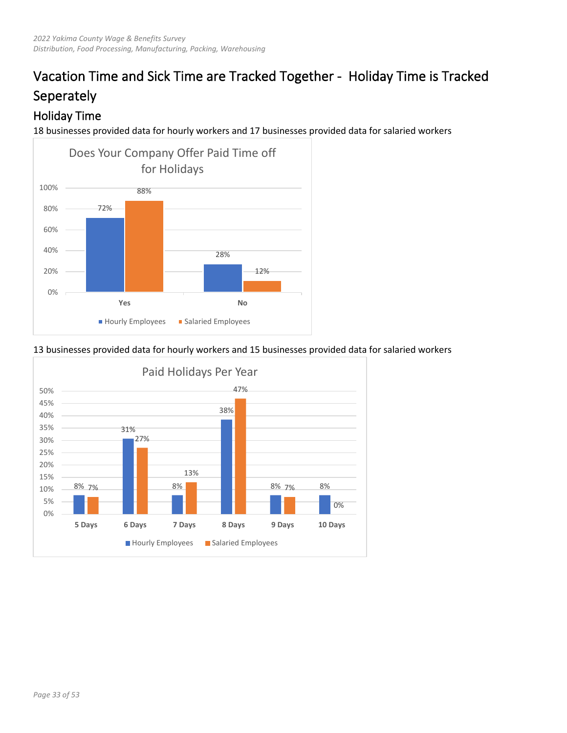## <span id="page-33-0"></span>Vacation Time and Sick Time are Tracked Together - Holiday Time is Tracked Seperately

### <span id="page-33-1"></span>Holiday Time

18 businesses provided data for hourly workers and 17 businesses provided data for salaried workers

![](_page_33_Figure_4.jpeg)

![](_page_33_Figure_6.jpeg)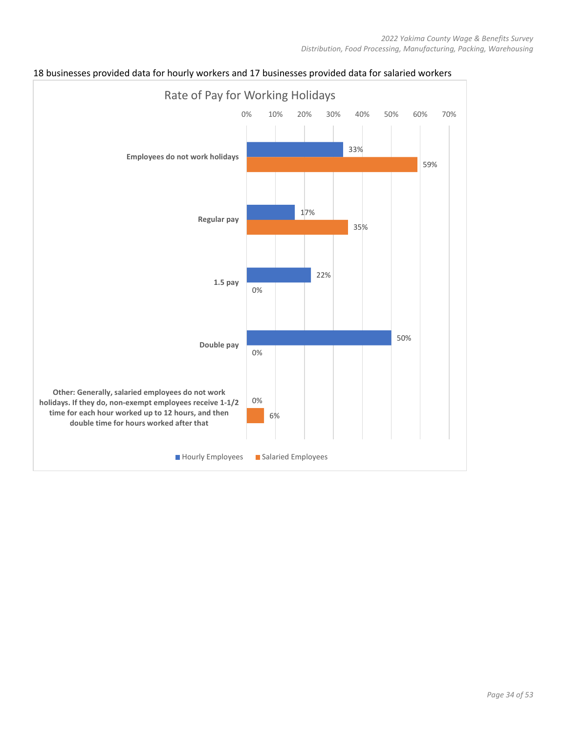![](_page_34_Figure_1.jpeg)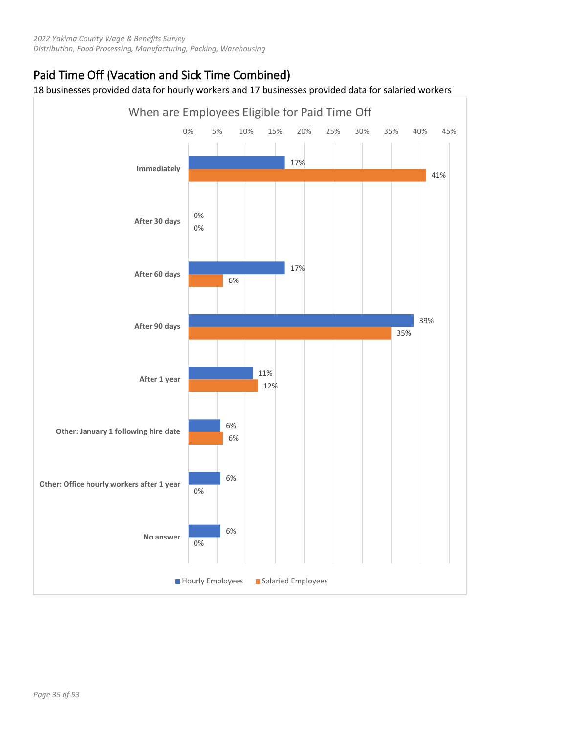### <span id="page-35-0"></span>Paid Time Off (Vacation and Sick Time Combined)

![](_page_35_Figure_3.jpeg)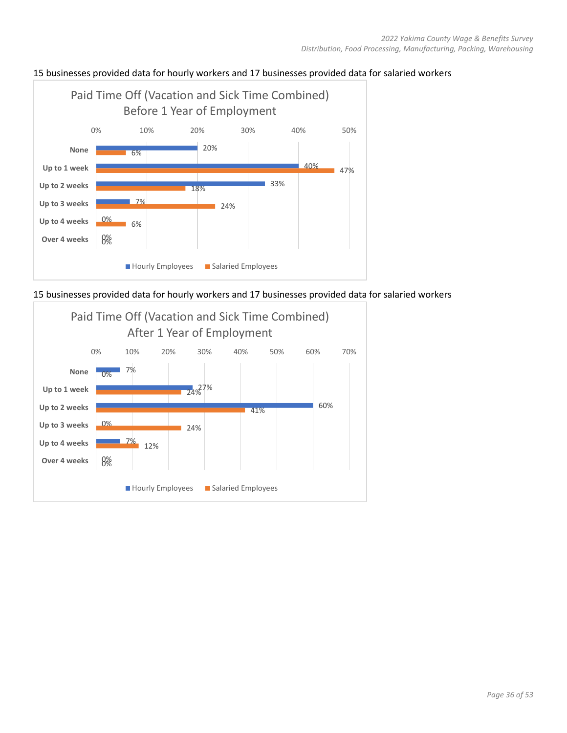![](_page_36_Figure_1.jpeg)

![](_page_36_Figure_4.jpeg)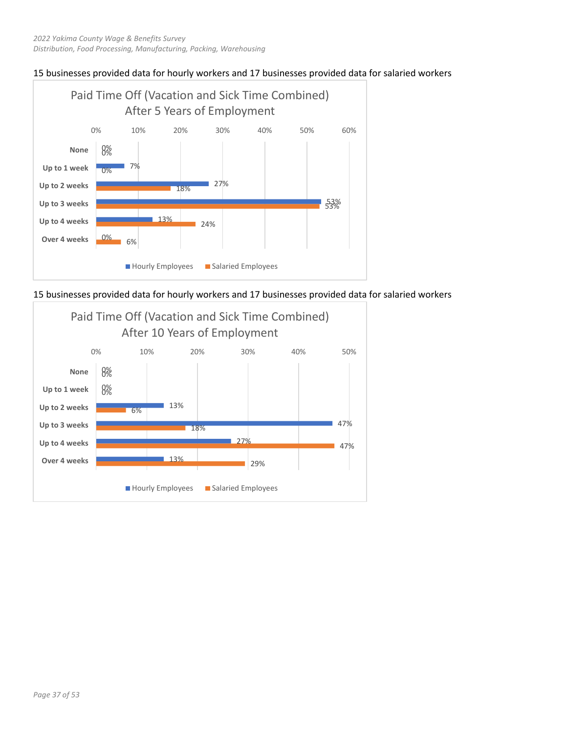![](_page_37_Figure_2.jpeg)

![](_page_37_Figure_4.jpeg)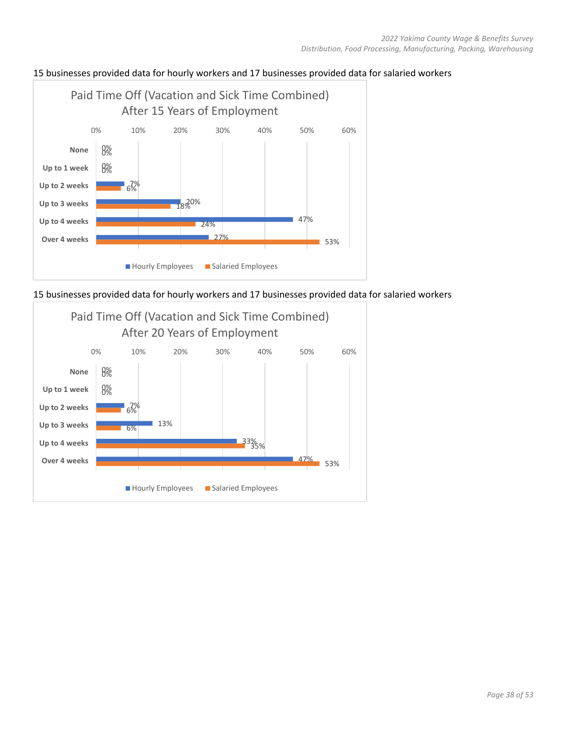![](_page_38_Figure_1.jpeg)

![](_page_38_Figure_4.jpeg)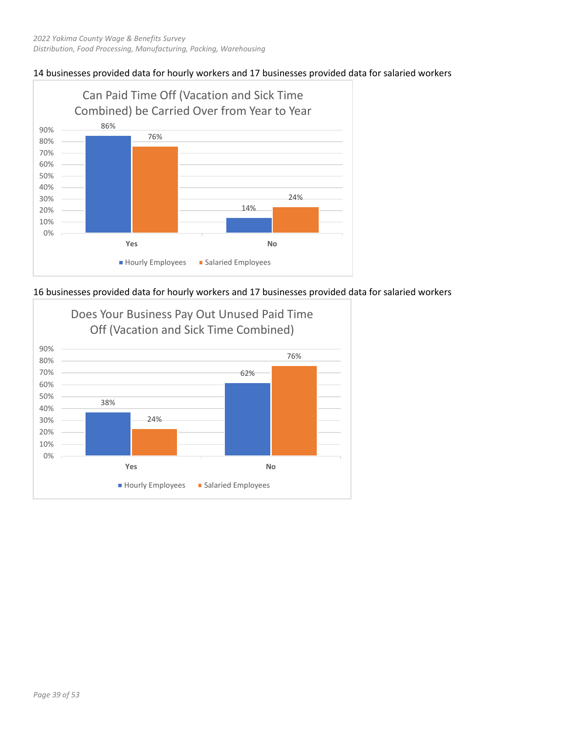![](_page_39_Figure_2.jpeg)

![](_page_39_Figure_4.jpeg)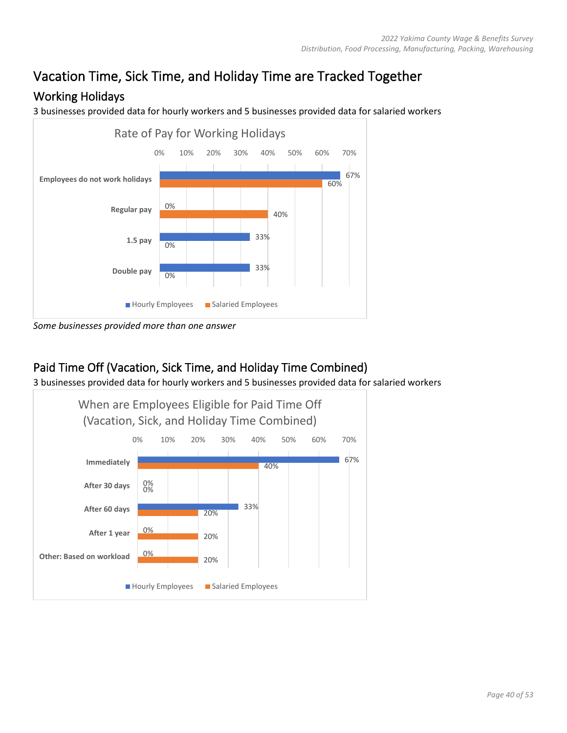## <span id="page-40-0"></span>Vacation Time, Sick Time, and Holiday Time are Tracked Together

### <span id="page-40-1"></span>Working Holidays

3 businesses provided data for hourly workers and 5 businesses provided data for salaried workers

![](_page_40_Figure_4.jpeg)

*Some businesses provided more than one answer*

### <span id="page-40-2"></span>Paid Time Off (Vacation, Sick Time, and Holiday Time Combined)

![](_page_40_Figure_8.jpeg)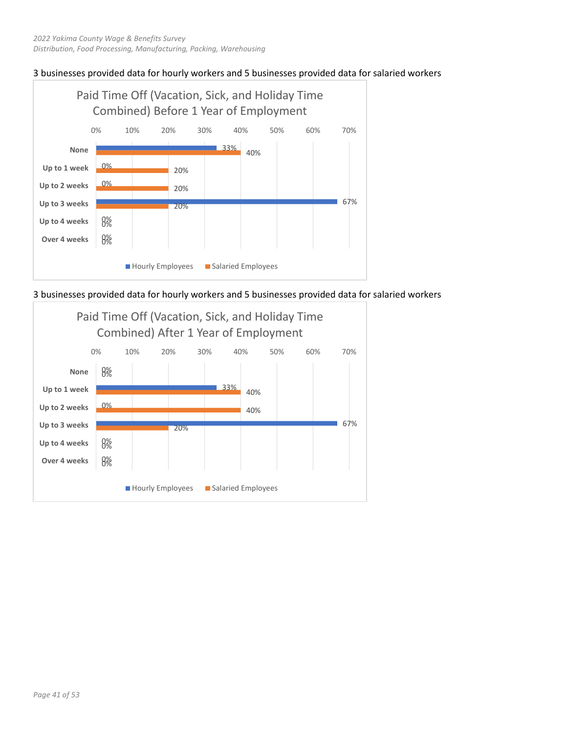![](_page_41_Figure_2.jpeg)

![](_page_41_Figure_4.jpeg)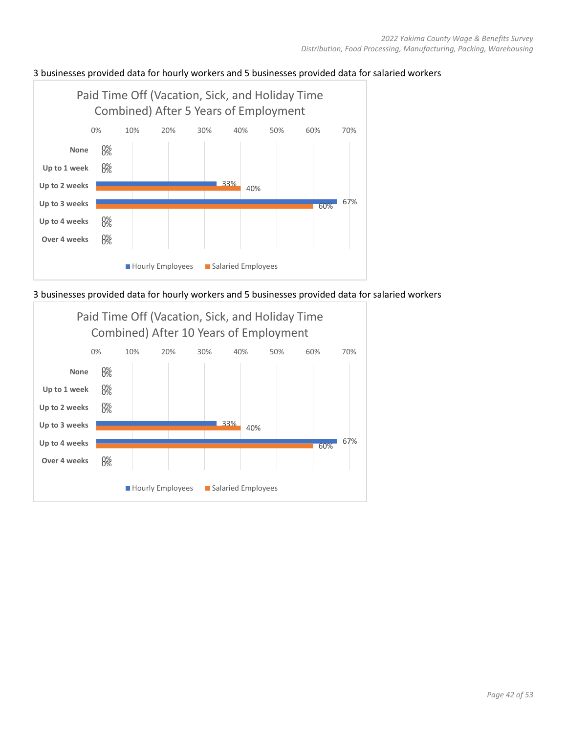![](_page_42_Figure_1.jpeg)

![](_page_42_Figure_4.jpeg)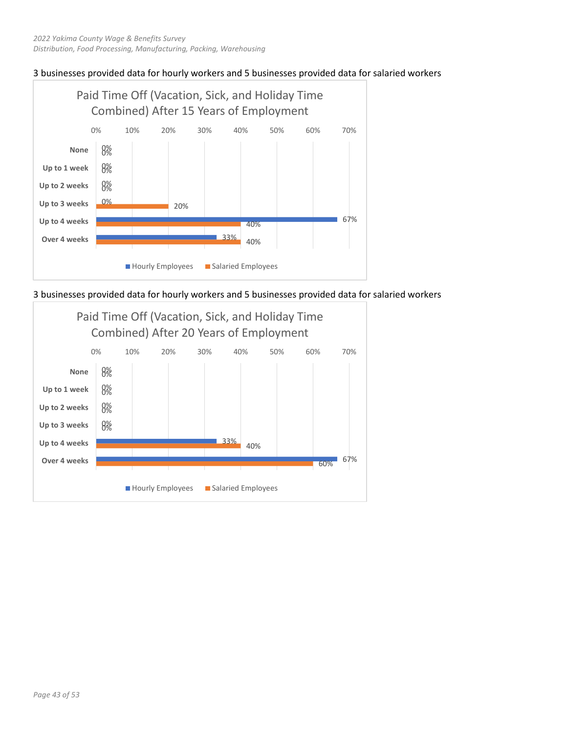![](_page_43_Figure_2.jpeg)

![](_page_43_Figure_4.jpeg)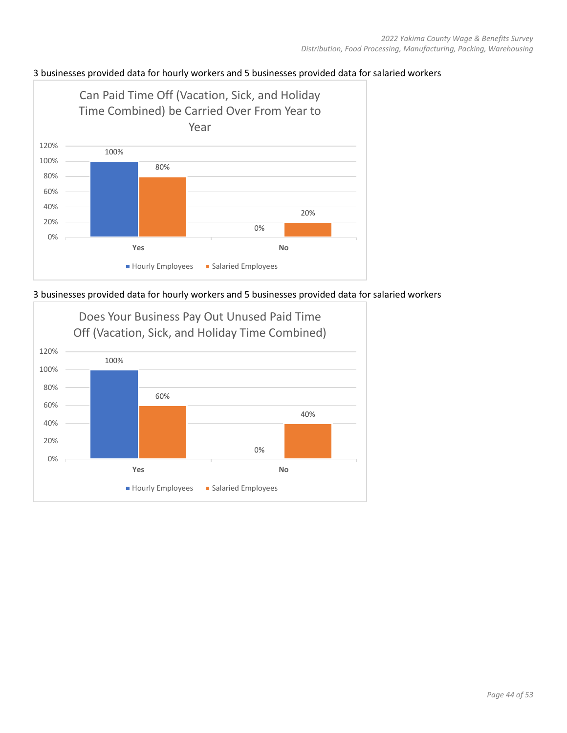![](_page_44_Figure_2.jpeg)

![](_page_44_Figure_4.jpeg)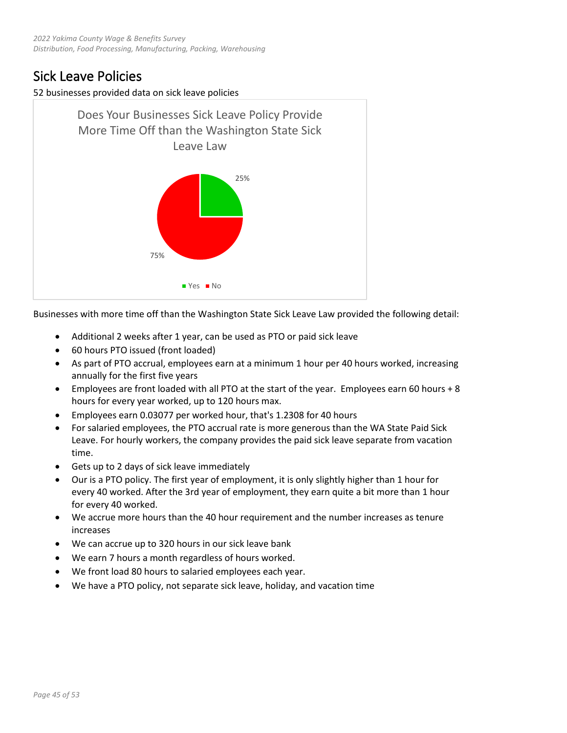## <span id="page-45-0"></span>Sick Leave Policies

![](_page_45_Figure_2.jpeg)

![](_page_45_Figure_3.jpeg)

Businesses with more time off than the Washington State Sick Leave Law provided the following detail:

- Additional 2 weeks after 1 year, can be used as PTO or paid sick leave
- 60 hours PTO issued (front loaded)
- As part of PTO accrual, employees earn at a minimum 1 hour per 40 hours worked, increasing annually for the first five years
- Employees are front loaded with all PTO at the start of the year. Employees earn 60 hours + 8 hours for every year worked, up to 120 hours max.
- Employees earn 0.03077 per worked hour, that's 1.2308 for 40 hours
- For salaried employees, the PTO accrual rate is more generous than the WA State Paid Sick Leave. For hourly workers, the company provides the paid sick leave separate from vacation time.
- Gets up to 2 days of sick leave immediately
- Our is a PTO policy. The first year of employment, it is only slightly higher than 1 hour for every 40 worked. After the 3rd year of employment, they earn quite a bit more than 1 hour for every 40 worked.
- We accrue more hours than the 40 hour requirement and the number increases as tenure increases
- We can accrue up to 320 hours in our sick leave bank
- We earn 7 hours a month regardless of hours worked.
- We front load 80 hours to salaried employees each year.
- We have a PTO policy, not separate sick leave, holiday, and vacation time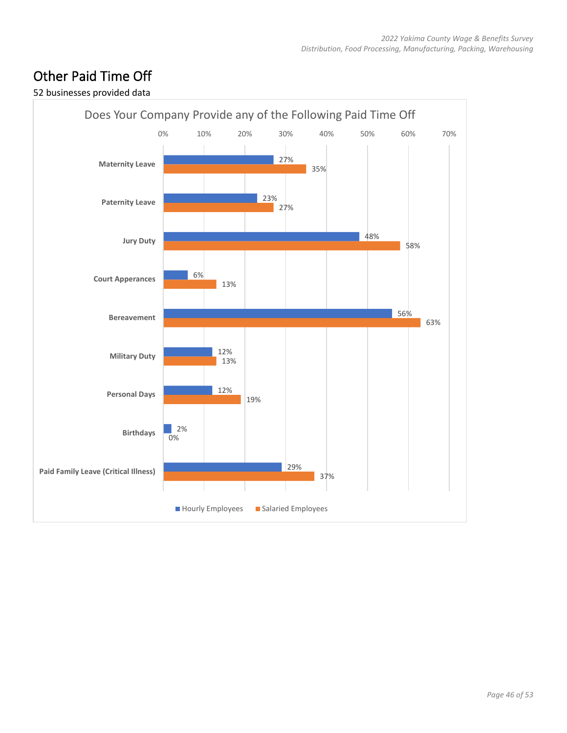## <span id="page-46-0"></span>Other Paid Time Off

![](_page_46_Figure_3.jpeg)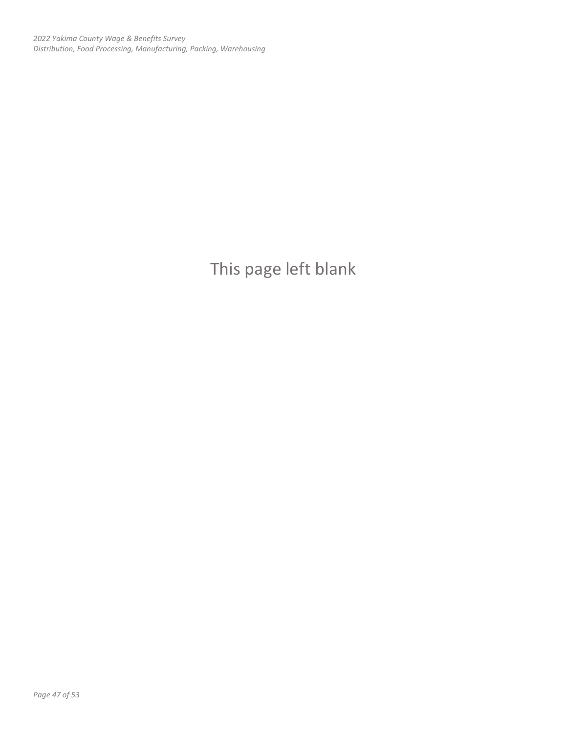This page left blank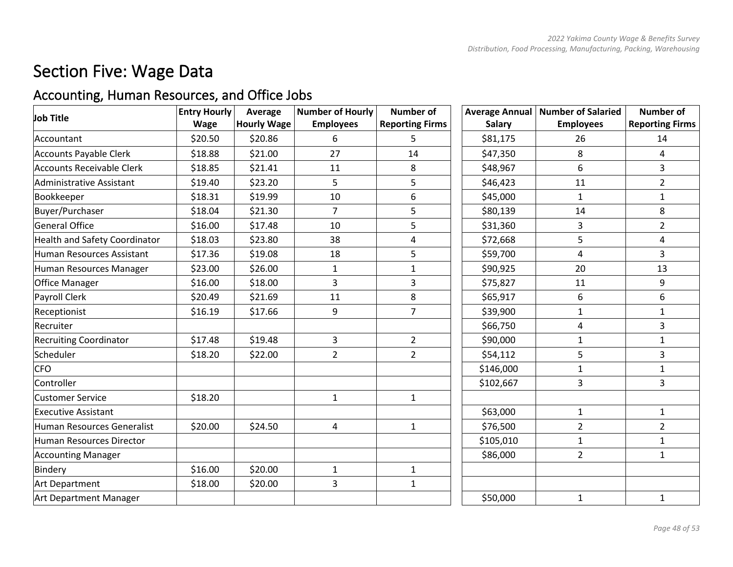# Section Five: Wage Data

## Accounting, Human Resources, and Office Jobs

<span id="page-48-1"></span><span id="page-48-0"></span>

| <b>Job Title</b>                     | <b>Entry Hourly</b> | Average            | <b>Number of Hourly</b> | <b>Number of</b>       | <b>Average Annual</b> | <b>Number of Salaried</b> | <b>Number of</b>       |
|--------------------------------------|---------------------|--------------------|-------------------------|------------------------|-----------------------|---------------------------|------------------------|
|                                      | <b>Wage</b>         | <b>Hourly Wage</b> | <b>Employees</b>        | <b>Reporting Firms</b> | <b>Salary</b>         | <b>Employees</b>          | <b>Reporting Firms</b> |
| Accountant                           | \$20.50             | \$20.86            | 6                       | 5                      | \$81,175              | 26                        | 14                     |
| <b>Accounts Payable Clerk</b>        | \$18.88             | \$21.00            | 27                      | 14                     | \$47,350              | 8                         | 4                      |
| <b>Accounts Receivable Clerk</b>     | \$18.85             | \$21.41            | 11                      | 8                      | \$48,967              | 6                         | 3                      |
| Administrative Assistant             | \$19.40             | \$23.20            | 5                       | 5                      | \$46,423              | 11                        | $\overline{2}$         |
| Bookkeeper                           | \$18.31             | \$19.99            | 10                      | 6                      | \$45,000              | $\mathbf{1}$              | $\mathbf{1}$           |
| Buyer/Purchaser                      | \$18.04             | \$21.30            | $\overline{7}$          | 5                      | \$80,139              | 14                        | 8                      |
| General Office                       | \$16.00             | \$17.48            | 10                      | 5                      | \$31,360              | 3                         | $\overline{2}$         |
| <b>Health and Safety Coordinator</b> | \$18.03             | \$23.80            | 38                      | 4                      | \$72,668              | 5                         | 4                      |
| <b>Human Resources Assistant</b>     | \$17.36             | \$19.08            | 18                      | 5                      | \$59,700              | 4                         | 3                      |
| Human Resources Manager              | \$23.00             | \$26.00            | $\mathbf{1}$            | $\mathbf{1}$           | \$90,925              | 20                        | 13                     |
| Office Manager                       | \$16.00             | \$18.00            | 3                       | 3                      | \$75,827              | 11                        | 9                      |
| Payroll Clerk                        | \$20.49             | \$21.69            | 11                      | 8                      | \$65,917              | 6                         | 6                      |
| Receptionist                         | \$16.19             | \$17.66            | 9                       | $\overline{7}$         | \$39,900              | $\mathbf{1}$              | $\mathbf{1}$           |
| Recruiter                            |                     |                    |                         |                        | \$66,750              | 4                         | 3                      |
| <b>Recruiting Coordinator</b>        | \$17.48             | \$19.48            | 3                       | $\overline{2}$         | \$90,000              | $\mathbf{1}$              | $\mathbf 1$            |
| Scheduler                            | \$18.20             | \$22.00            | $\overline{2}$          | $\overline{2}$         | \$54,112              | 5                         | 3                      |
| <b>CFO</b>                           |                     |                    |                         |                        | \$146,000             | $\mathbf{1}$              | $\mathbf 1$            |
| Controller                           |                     |                    |                         |                        | \$102,667             | 3                         | 3                      |
| <b>Customer Service</b>              | \$18.20             |                    | $\mathbf{1}$            | $\mathbf{1}$           |                       |                           |                        |
| <b>Executive Assistant</b>           |                     |                    |                         |                        | \$63,000              | $\mathbf{1}$              | $\mathbf{1}$           |
| Human Resources Generalist           | \$20.00             | \$24.50            | $\overline{4}$          | $\mathbf{1}$           | \$76,500              | $\overline{2}$            | $\overline{2}$         |
| Human Resources Director             |                     |                    |                         |                        | \$105,010             | $\mathbf{1}$              | $\mathbf{1}$           |
| <b>Accounting Manager</b>            |                     |                    |                         |                        | \$86,000              | $\overline{2}$            | $\mathbf{1}$           |
| Bindery                              | \$16.00             | \$20.00            | $\mathbf{1}$            | $\mathbf{1}$           |                       |                           |                        |
| Art Department                       | \$18.00             | \$20.00            | 3                       | $\mathbf{1}$           |                       |                           |                        |
| <b>Art Department Manager</b>        |                     |                    |                         |                        | \$50,000              | $1\,$                     | $\mathbf{1}$           |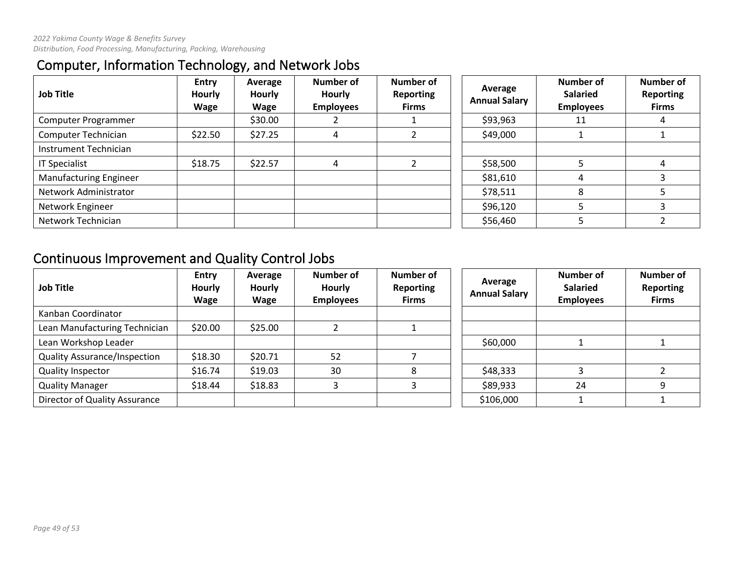## Computer, Information Technology, and Network Jobs

| <b>Job Title</b>              | Entry<br>Hourly<br><b>Wage</b> | Number of<br><b>Number of</b><br>Average<br><b>Reporting</b><br>Hourly<br><b>Hourly</b><br><b>Employees</b><br><b>Wage</b><br><b>Firms</b> |   | Average<br><b>Annual Salary</b> | Number of<br><b>Salaried</b><br><b>Employees</b> | <b>Number of</b><br><b>Reporting</b><br><b>Firms</b> |   |
|-------------------------------|--------------------------------|--------------------------------------------------------------------------------------------------------------------------------------------|---|---------------------------------|--------------------------------------------------|------------------------------------------------------|---|
| Computer Programmer           |                                | \$30.00                                                                                                                                    |   |                                 | \$93,963                                         | 11                                                   | 4 |
| Computer Technician           | \$22.50                        | \$27.25                                                                                                                                    | 4 |                                 | \$49,000                                         |                                                      |   |
| Instrument Technician         |                                |                                                                                                                                            |   |                                 |                                                  |                                                      |   |
| <b>IT Specialist</b>          | \$18.75                        | \$22.57                                                                                                                                    |   |                                 | \$58,500                                         |                                                      |   |
| <b>Manufacturing Engineer</b> |                                |                                                                                                                                            |   |                                 | \$81,610                                         |                                                      |   |
| Network Administrator         |                                |                                                                                                                                            |   |                                 | \$78,511                                         | 8                                                    |   |
| Network Engineer              |                                |                                                                                                                                            |   |                                 | \$96,120                                         |                                                      |   |
| Network Technician            |                                |                                                                                                                                            |   |                                 | \$56,460                                         |                                                      |   |

## <span id="page-49-0"></span>Continuous Improvement and Quality Control Jobs

<span id="page-49-1"></span>

| <b>Job Title</b>                    | <b>Entry</b><br>Hourly<br><b>Wage</b> | Average<br>Hourly<br>Wage | Number of<br><b>Hourly</b><br><b>Employees</b> | <b>Number of</b><br><b>Reporting</b><br><b>Firms</b> | Average<br><b>Annual Salary</b> | Number of<br><b>Salaried</b><br><b>Employees</b> | <b>Number of</b><br><b>Reporting</b><br><b>Firms</b> |
|-------------------------------------|---------------------------------------|---------------------------|------------------------------------------------|------------------------------------------------------|---------------------------------|--------------------------------------------------|------------------------------------------------------|
| Kanban Coordinator                  |                                       |                           |                                                |                                                      |                                 |                                                  |                                                      |
| Lean Manufacturing Technician       | \$20.00                               | \$25.00                   |                                                |                                                      |                                 |                                                  |                                                      |
| Lean Workshop Leader                |                                       |                           |                                                |                                                      | \$60,000                        |                                                  |                                                      |
| <b>Quality Assurance/Inspection</b> | \$18.30                               | \$20.71                   | 52                                             |                                                      |                                 |                                                  |                                                      |
| <b>Quality Inspector</b>            | \$16.74                               | \$19.03                   | 30                                             | 8                                                    | \$48,333                        |                                                  |                                                      |
| <b>Quality Manager</b>              | \$18.44                               | \$18.83                   |                                                |                                                      | \$89,933                        | 24                                               |                                                      |
| Director of Quality Assurance       |                                       |                           |                                                |                                                      | \$106,000                       |                                                  |                                                      |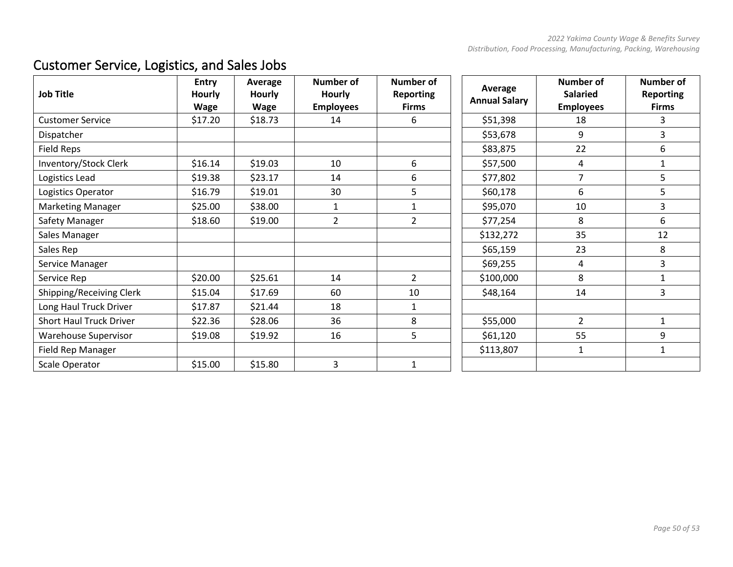## Customer Service, Logistics, and Sales Jobs

<span id="page-50-0"></span>

| <b>Job Title</b>               | <b>Entry</b><br><b>Hourly</b><br><b>Wage</b> | Average<br>Hourly<br>Wage | <b>Number of</b><br><b>Hourly</b><br><b>Employees</b> | <b>Number of</b><br><b>Reporting</b><br><b>Firms</b> | Average<br><b>Annual Salary</b> | <b>Number of</b><br><b>Salaried</b><br><b>Employees</b> | <b>Number of</b><br><b>Reporting</b><br><b>Firms</b> |
|--------------------------------|----------------------------------------------|---------------------------|-------------------------------------------------------|------------------------------------------------------|---------------------------------|---------------------------------------------------------|------------------------------------------------------|
| <b>Customer Service</b>        | \$17.20                                      | \$18.73                   | 14                                                    | 6                                                    | \$51,398                        | 18                                                      | 3                                                    |
| Dispatcher                     |                                              |                           |                                                       |                                                      | \$53,678                        | 9                                                       | 3                                                    |
| <b>Field Reps</b>              |                                              |                           |                                                       |                                                      | \$83,875                        | 22                                                      | 6                                                    |
| Inventory/Stock Clerk          | \$16.14                                      | \$19.03                   | 10                                                    | 6                                                    | \$57,500                        | 4                                                       | $\mathbf{1}$                                         |
| Logistics Lead                 | \$19.38                                      | \$23.17                   | 14                                                    | 6                                                    | \$77,802                        | $\overline{7}$                                          | 5                                                    |
| Logistics Operator             | \$16.79                                      | \$19.01                   | 30                                                    | 5                                                    | \$60,178                        | 6                                                       | 5                                                    |
| <b>Marketing Manager</b>       | \$25.00                                      | \$38.00                   | $\mathbf{1}$                                          | $\mathbf 1$                                          | \$95,070                        | 10                                                      | 3                                                    |
| Safety Manager                 | \$18.60                                      | \$19.00                   | $\overline{2}$                                        | $\overline{2}$                                       | \$77,254                        | 8                                                       | 6                                                    |
| Sales Manager                  |                                              |                           |                                                       |                                                      | \$132,272                       | 35                                                      | 12                                                   |
| Sales Rep                      |                                              |                           |                                                       |                                                      | \$65,159                        | 23                                                      | 8                                                    |
| Service Manager                |                                              |                           |                                                       |                                                      | \$69,255                        | 4                                                       | 3                                                    |
| Service Rep                    | \$20.00                                      | \$25.61                   | 14                                                    | $\overline{2}$                                       | \$100,000                       | 8                                                       | $\mathbf{1}$                                         |
| Shipping/Receiving Clerk       | \$15.04                                      | \$17.69                   | 60                                                    | 10                                                   | \$48,164                        | 14                                                      | 3                                                    |
| Long Haul Truck Driver         | \$17.87                                      | \$21.44                   | 18                                                    | $\mathbf 1$                                          |                                 |                                                         |                                                      |
| <b>Short Haul Truck Driver</b> | \$22.36                                      | \$28.06                   | 36                                                    | 8                                                    | \$55,000                        | $\overline{2}$                                          | $\mathbf{1}$                                         |
| Warehouse Supervisor           | \$19.08                                      | \$19.92                   | 16                                                    | 5                                                    | \$61,120                        | 55                                                      | 9                                                    |
| Field Rep Manager              |                                              |                           |                                                       |                                                      | \$113,807                       | 1                                                       | $\mathbf{1}$                                         |
| Scale Operator                 | \$15.00                                      | \$15.80                   | $\overline{3}$                                        | $\mathbf{1}$                                         |                                 |                                                         |                                                      |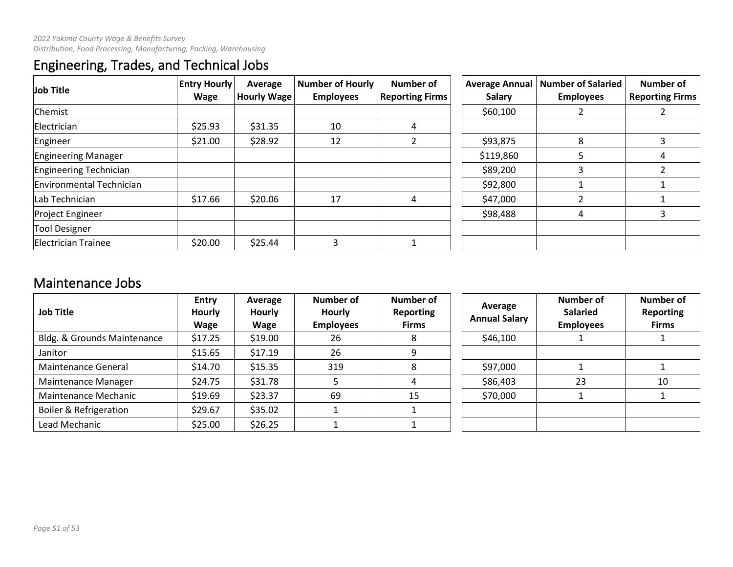## Engineering, Trades, and Technical Jobs

| Job Title                  | <b>Entry Hourly</b><br><b>Wage</b> | Average<br><b>Hourly Wage</b> | <b>Number of Hourly</b><br><b>Employees</b> | <b>Number of</b><br><b>Reporting Firms</b> | <b>Average Annual</b><br><b>Salary</b> | <b>Number of Salaried</b><br><b>Employees</b> | <b>Number of</b><br><b>Reporting Firms</b> |
|----------------------------|------------------------------------|-------------------------------|---------------------------------------------|--------------------------------------------|----------------------------------------|-----------------------------------------------|--------------------------------------------|
| Chemist                    |                                    |                               |                                             |                                            | \$60,100                               |                                               |                                            |
| Electrician                | \$25.93                            | \$31.35                       | 10                                          | 4                                          |                                        |                                               |                                            |
| Engineer                   | \$21.00                            | \$28.92                       | 12                                          |                                            | \$93,875                               | 8                                             |                                            |
| <b>Engineering Manager</b> |                                    |                               |                                             |                                            | \$119,860                              |                                               | 4                                          |
| Engineering Technician     |                                    |                               |                                             |                                            | \$89,200                               |                                               |                                            |
| Environmental Technician   |                                    |                               |                                             |                                            | \$92,800                               |                                               |                                            |
| Lab Technician             | \$17.66                            | \$20.06                       | 17                                          | 4                                          | \$47,000                               |                                               |                                            |
| Project Engineer           |                                    |                               |                                             |                                            | \$98,488                               | 4                                             |                                            |
| Tool Designer              |                                    |                               |                                             |                                            |                                        |                                               |                                            |
| <b>Electrician Trainee</b> | \$20.00                            | \$25.44                       | 3                                           |                                            |                                        |                                               |                                            |

### <span id="page-51-0"></span>Maintenance Jobs

<span id="page-51-1"></span>

| <b>Job Title</b>            | Entry<br>Hourly<br><b>Wage</b> | Average<br>Hourly<br><b>Wage</b> | Number of<br>Hourly<br><b>Employees</b> | Number of<br><b>Reporting</b><br><b>Firms</b> | Average<br><b>Annual Salary</b> | Number of<br><b>Salaried</b><br><b>Employees</b> | Number of<br><b>Reporting</b><br><b>Firms</b> |
|-----------------------------|--------------------------------|----------------------------------|-----------------------------------------|-----------------------------------------------|---------------------------------|--------------------------------------------------|-----------------------------------------------|
| Bldg. & Grounds Maintenance | \$17.25                        | \$19.00                          | 26                                      | 8                                             | \$46,100                        |                                                  |                                               |
| Janitor                     | \$15.65                        | \$17.19                          | 26                                      | 9                                             |                                 |                                                  |                                               |
| Maintenance General         | \$14.70                        | \$15.35                          | 319                                     | 8                                             | \$97,000                        |                                                  |                                               |
| Maintenance Manager         | \$24.75                        | \$31.78                          |                                         | 4                                             | \$86,403                        | 23                                               | 10                                            |
| Maintenance Mechanic        | \$19.69                        | \$23.37                          | 69                                      | 15                                            | \$70,000                        |                                                  |                                               |
| Boiler & Refrigeration      | \$29.67                        | \$35.02                          |                                         |                                               |                                 |                                                  |                                               |
| Lead Mechanic               | \$25.00                        | \$26.25                          |                                         |                                               |                                 |                                                  |                                               |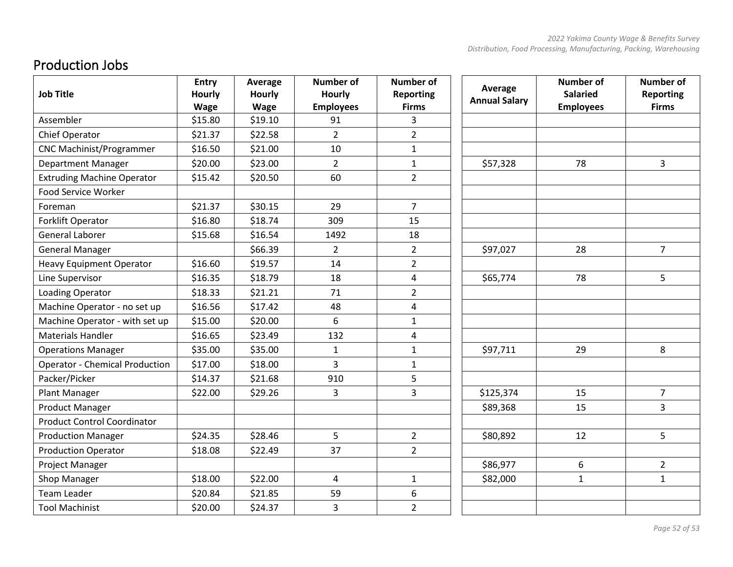## Production Jobs

<span id="page-52-0"></span>

| <b>Job Title</b>                      | <b>Entry</b><br>Hourly | Average<br>Hourly | <b>Number of</b><br><b>Hourly</b> | <b>Number of</b><br><b>Reporting</b> | Average              | <b>Number of</b><br><b>Salaried</b> | <b>Number of</b><br><b>Reporting</b> |  |
|---------------------------------------|------------------------|-------------------|-----------------------------------|--------------------------------------|----------------------|-------------------------------------|--------------------------------------|--|
|                                       | Wage                   | Wage              | <b>Employees</b>                  | <b>Firms</b>                         | <b>Annual Salary</b> | <b>Employees</b>                    | <b>Firms</b>                         |  |
| Assembler                             | \$15.80                | \$19.10           | 91                                | $\mathbf{3}$                         |                      |                                     |                                      |  |
| Chief Operator                        | \$21.37                | \$22.58           | $\overline{2}$                    | $\overline{2}$                       |                      |                                     |                                      |  |
| <b>CNC Machinist/Programmer</b>       | \$16.50                | \$21.00           | 10                                | $\mathbf{1}$                         |                      |                                     |                                      |  |
| <b>Department Manager</b>             | \$20.00                | \$23.00           | $\overline{2}$                    | $\mathbf{1}$                         | \$57,328             | 78                                  | $\overline{3}$                       |  |
| <b>Extruding Machine Operator</b>     | \$15.42                | \$20.50           | 60                                | $2^{\circ}$                          |                      |                                     |                                      |  |
| Food Service Worker                   |                        |                   |                                   |                                      |                      |                                     |                                      |  |
| Foreman                               | \$21.37                | \$30.15           | 29                                | $\overline{7}$                       |                      |                                     |                                      |  |
| Forklift Operator                     | \$16.80                | \$18.74           | 309                               | 15                                   |                      |                                     |                                      |  |
| <b>General Laborer</b>                | \$15.68                | \$16.54           | 1492                              | 18                                   |                      |                                     |                                      |  |
| <b>General Manager</b>                |                        | \$66.39           | $\overline{2}$                    | $2^{\circ}$                          | \$97,027             | 28                                  | $\overline{7}$                       |  |
| <b>Heavy Equipment Operator</b>       | \$16.60                | \$19.57           | 14                                | $\overline{2}$                       |                      |                                     |                                      |  |
| Line Supervisor                       | \$16.35                | \$18.79           | 18                                | 4                                    | \$65,774             | 78                                  | 5                                    |  |
| Loading Operator                      | \$18.33                | \$21.21           | 71                                | $\overline{2}$                       |                      |                                     |                                      |  |
| Machine Operator - no set up          | \$16.56                | \$17.42           | 48                                | $\overline{\mathbf{4}}$              |                      |                                     |                                      |  |
| Machine Operator - with set up        | \$15.00                | \$20.00           | 6                                 | $\mathbf{1}$                         |                      |                                     |                                      |  |
| <b>Materials Handler</b>              | \$16.65                | \$23.49           | 132                               | $\overline{4}$                       |                      |                                     |                                      |  |
| <b>Operations Manager</b>             | \$35.00                | \$35.00           | $\mathbf{1}$                      | $\mathbf{1}$                         | \$97,711             | 29                                  | 8                                    |  |
| <b>Operator - Chemical Production</b> | \$17.00                | \$18.00           | 3                                 | $\mathbf{1}$                         |                      |                                     |                                      |  |
| Packer/Picker                         | \$14.37                | \$21.68           | 910                               | 5                                    |                      |                                     |                                      |  |
| Plant Manager                         | \$22.00                | \$29.26           | 3                                 | $\overline{3}$                       | \$125,374            | 15                                  | $\overline{7}$                       |  |
| Product Manager                       |                        |                   |                                   |                                      | \$89,368             | 15                                  | $\mathbf{3}$                         |  |
| <b>Product Control Coordinator</b>    |                        |                   |                                   |                                      |                      |                                     |                                      |  |
| <b>Production Manager</b>             | \$24.35                | \$28.46           | 5                                 | $\overline{2}$                       | \$80,892             | 12                                  | 5                                    |  |
| <b>Production Operator</b>            | \$18.08                | \$22.49           | 37                                | $\overline{2}$                       |                      |                                     |                                      |  |
| Project Manager                       |                        |                   |                                   |                                      | \$86,977             | 6                                   | $\overline{2}$                       |  |
| Shop Manager                          | \$18.00                | \$22.00           | 4                                 | $\mathbf{1}$                         | \$82,000             | $\mathbf{1}$                        | $\mathbf{1}$                         |  |
| Team Leader                           | \$20.84                | \$21.85           | 59                                | 6                                    |                      |                                     |                                      |  |
| <b>Tool Machinist</b>                 | \$20.00                | \$24.37           | 3                                 | $\overline{2}$                       |                      |                                     |                                      |  |